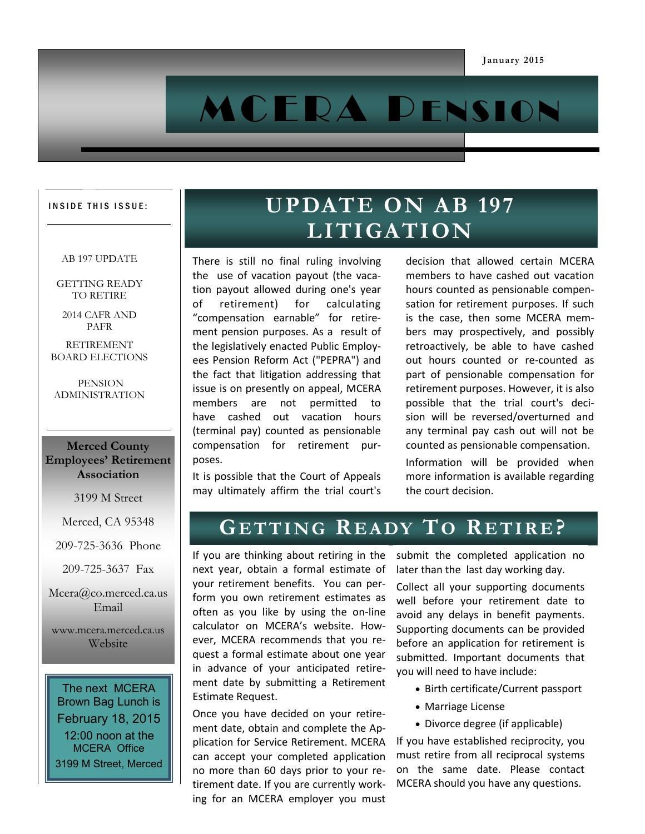# M CERA PENSION

#### INSIDE THIS ISSUE:

#### AB 197 UPDATE

GETTING READY TO RETIRE

2014 CAFR AND PAFR

RETIREMENT BOARD ELECTIONS

PENSION ADMINISTRATION

#### **Merced County Employees' Retirement Association**

3199 M Street

Merced, CA 95348

209-725-3636 Phone

209-725-3637 Fax

Mcera@co.merced.ca.us Email

www.mcera.merced.ca.us Website

The next MCERA Brown Bag Lunch is February 18, 2015 12:00 noon at the MCERA Office 3199 M Street, Merced

# UPDATE ON AB 197 **LITIGATION**

There is still no final ruling involving the use of vacation payout (the vacation payout allowed during one's year of retirement) for calculating "compensation earnable" for retirement pension purposes. As a result of the legislatively enacted Public Employees Pension Reform Act ("PEPRA") and the fact that litigation addressing that issue is on presently on appeal, MCERA members are not permitted to have cashed out vacation hours (terminal pay) counted as pensionable compensation for retirement purposes.

It is possible that the Court of Appeals may ultimately affirm the trial court's

decision that allowed certain MCERA members to have cashed out vacation hours counted as pensionable compensation for retirement purposes. If such is the case, then some MCERA members may prospectively, and possibly retroactively, be able to have cashed out hours counted or re-counted as part of pensionable compensation for retirement purposes. However, it is also possible that the trial court's decision will be reversed/overturned and any terminal pay cash out will not be counted as pensionable compensation.

Information will be provided when more information is available regarding the court decision.

## **GE T T I N G RE A DY TO RE T I R E?**

If you are thinking about retiring in the next year, obtain a formal estimate of your retirement benefits. You can perform you own retirement estimates as often as you like by using the on-line calculator on MCERA's website. However, MCERA recommends that you request a formal estimate about one year in advance of your anticipated retirement date by submitting a Retirement Estimate Request.

Once you have decided on your retirement date, obtain and complete the Application for Service Retirement. MCERA can accept your completed application no more than 60 days prior to your retirement date. If you are currently working for an MCERA employer you must

submit the completed application no later than the last day working day.

Collect all your supporting documents well before your retirement date to avoid any delays in benefit payments. Supporting documents can be provided before an application for retirement is submitted. Important documents that you will need to have include:

- Birth certificate/Current passport
- Marriage License
- Divorce degree (if applicable)

If you have established reciprocity, you must retire from all reciprocal systems on the same date. Please contact MCERA should you have any questions.